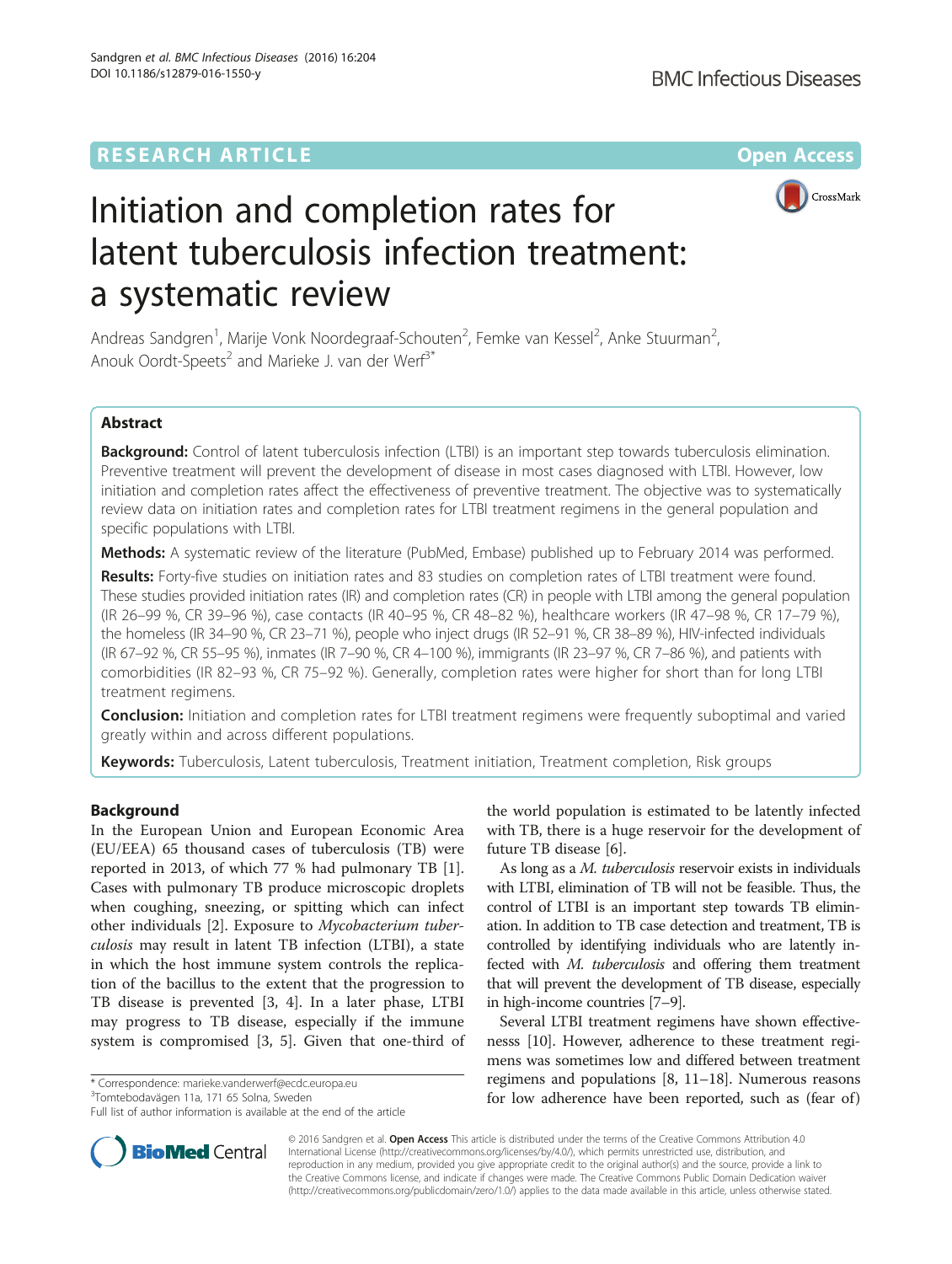

# Initiation and completion rates for latent tuberculosis infection treatment: a systematic review

Andreas Sandgren<sup>1</sup>, Marije Vonk Noordegraaf-Schouten<sup>2</sup>, Femke van Kessel<sup>2</sup>, Anke Stuurman<sup>2</sup> , Anouk Oordt-Speets<sup>2</sup> and Marieke J. van der Werf<sup>3\*</sup>

### Abstract

Background: Control of latent tuberculosis infection (LTBI) is an important step towards tuberculosis elimination. Preventive treatment will prevent the development of disease in most cases diagnosed with LTBI. However, low initiation and completion rates affect the effectiveness of preventive treatment. The objective was to systematically review data on initiation rates and completion rates for LTBI treatment regimens in the general population and specific populations with LTBI.

Methods: A systematic review of the literature (PubMed, Embase) published up to February 2014 was performed.

Results: Forty-five studies on initiation rates and 83 studies on completion rates of LTBI treatment were found. These studies provided initiation rates (IR) and completion rates (CR) in people with LTBI among the general population (IR 26–99 %, CR 39–96 %), case contacts (IR 40–95 %, CR 48–82 %), healthcare workers (IR 47–98 %, CR 17–79 %), the homeless (IR 34–90 %, CR 23–71 %), people who inject drugs (IR 52–91 %, CR 38–89 %), HIV-infected individuals (IR 67–92 %, CR 55–95 %), inmates (IR 7–90 %, CR 4–100 %), immigrants (IR 23–97 %, CR 7–86 %), and patients with comorbidities (IR 82–93 %, CR 75–92 %). Generally, completion rates were higher for short than for long LTBI treatment regimens.

**Conclusion:** Initiation and completion rates for LTBI treatment regimens were frequently suboptimal and varied greatly within and across different populations.

Keywords: Tuberculosis, Latent tuberculosis, Treatment initiation, Treatment completion, Risk groups

### Background

In the European Union and European Economic Area (EU/EEA) 65 thousand cases of tuberculosis (TB) were reported in 2013, of which 77 % had pulmonary TB [\[1](#page-8-0)]. Cases with pulmonary TB produce microscopic droplets when coughing, sneezing, or spitting which can infect other individuals [[2](#page-8-0)]. Exposure to Mycobacterium tuberculosis may result in latent TB infection (LTBI), a state in which the host immune system controls the replication of the bacillus to the extent that the progression to TB disease is prevented [\[3](#page-8-0), [4\]](#page-8-0). In a later phase, LTBI may progress to TB disease, especially if the immune system is compromised [[3](#page-8-0), [5](#page-8-0)]. Given that one-third of

\* Correspondence: [marieke.vanderwerf@ecdc.europa.eu](mailto:marieke.vanderwerf@ecdc.europa.eu) <sup>3</sup>

<sup>3</sup>Tomtebodavägen 11a, 171 65 Solna, Sweden

Full list of author information is available at the end of the article



As long as a M. tuberculosis reservoir exists in individuals with LTBI, elimination of TB will not be feasible. Thus, the control of LTBI is an important step towards TB elimination. In addition to TB case detection and treatment, TB is controlled by identifying individuals who are latently infected with M. tuberculosis and offering them treatment that will prevent the development of TB disease, especially in high-income countries [\[7](#page-8-0)–[9](#page-8-0)].

Several LTBI treatment regimens have shown effectivenesss [[10\]](#page-8-0). However, adherence to these treatment regimens was sometimes low and differed between treatment regimens and populations [\[8](#page-8-0), [11](#page-8-0)–[18](#page-9-0)]. Numerous reasons for low adherence have been reported, such as (fear of)



© 2016 Sandgren et al. Open Access This article is distributed under the terms of the Creative Commons Attribution 4.0 International License [\(http://creativecommons.org/licenses/by/4.0/](http://creativecommons.org/licenses/by/4.0/)), which permits unrestricted use, distribution, and reproduction in any medium, provided you give appropriate credit to the original author(s) and the source, provide a link to the Creative Commons license, and indicate if changes were made. The Creative Commons Public Domain Dedication waiver [\(http://creativecommons.org/publicdomain/zero/1.0/](http://creativecommons.org/publicdomain/zero/1.0/)) applies to the data made available in this article, unless otherwise stated.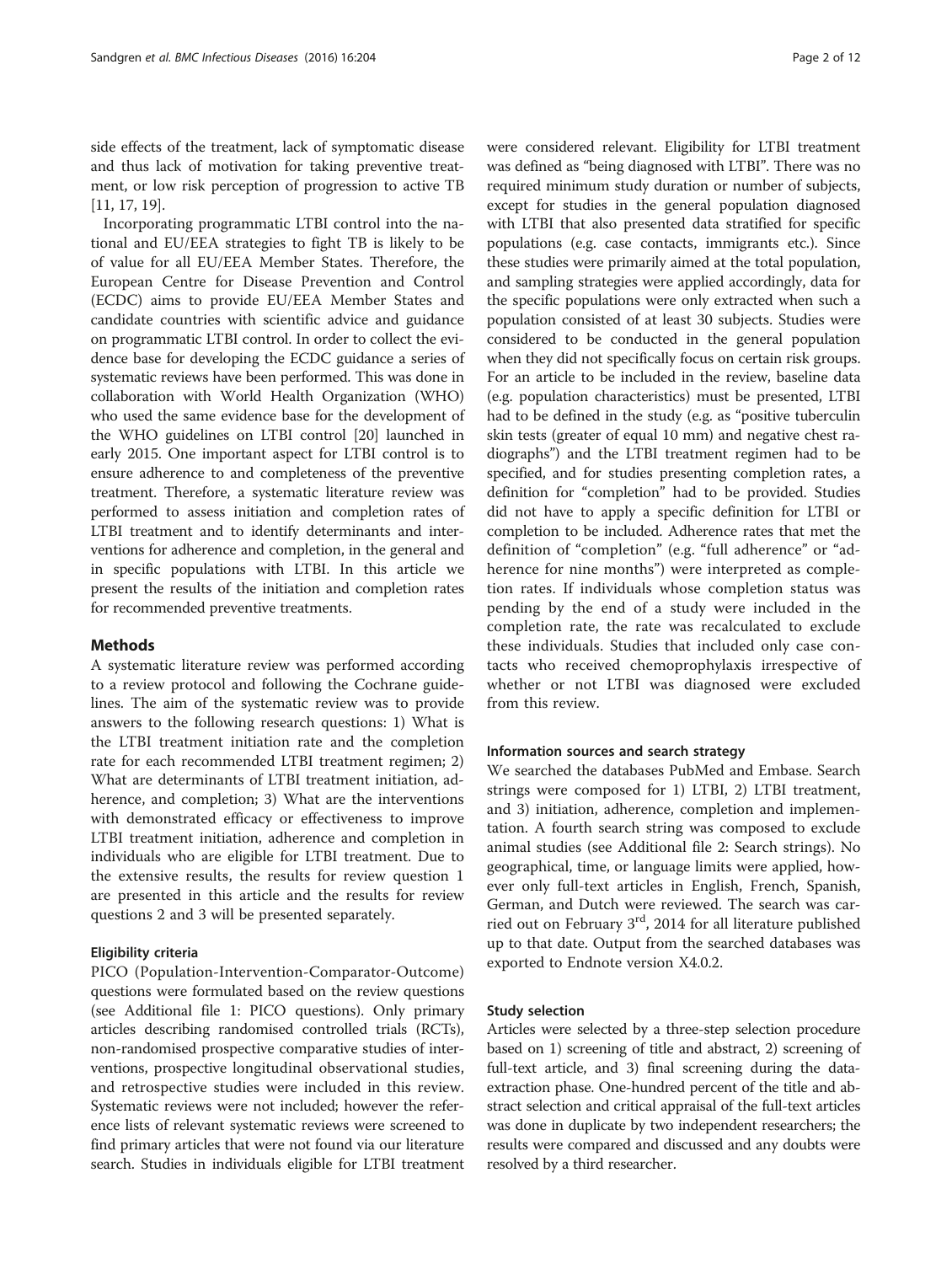side effects of the treatment, lack of symptomatic disease and thus lack of motivation for taking preventive treatment, or low risk perception of progression to active TB [[11](#page-8-0), [17,](#page-8-0) [19](#page-9-0)].

Incorporating programmatic LTBI control into the national and EU/EEA strategies to fight TB is likely to be of value for all EU/EEA Member States. Therefore, the European Centre for Disease Prevention and Control (ECDC) aims to provide EU/EEA Member States and candidate countries with scientific advice and guidance on programmatic LTBI control. In order to collect the evidence base for developing the ECDC guidance a series of systematic reviews have been performed. This was done in collaboration with World Health Organization (WHO) who used the same evidence base for the development of the WHO guidelines on LTBI control [\[20\]](#page-9-0) launched in early 2015. One important aspect for LTBI control is to ensure adherence to and completeness of the preventive treatment. Therefore, a systematic literature review was performed to assess initiation and completion rates of LTBI treatment and to identify determinants and interventions for adherence and completion, in the general and in specific populations with LTBI. In this article we present the results of the initiation and completion rates for recommended preventive treatments.

#### Methods

A systematic literature review was performed according to a review protocol and following the Cochrane guidelines. The aim of the systematic review was to provide answers to the following research questions: 1) What is the LTBI treatment initiation rate and the completion rate for each recommended LTBI treatment regimen; 2) What are determinants of LTBI treatment initiation, adherence, and completion; 3) What are the interventions with demonstrated efficacy or effectiveness to improve LTBI treatment initiation, adherence and completion in individuals who are eligible for LTBI treatment. Due to the extensive results, the results for review question 1 are presented in this article and the results for review questions 2 and 3 will be presented separately.

#### Eligibility criteria

PICO (Population-Intervention-Comparator-Outcome) questions were formulated based on the review questions (see Additional file [1](#page-8-0): PICO questions). Only primary articles describing randomised controlled trials (RCTs), non-randomised prospective comparative studies of interventions, prospective longitudinal observational studies, and retrospective studies were included in this review. Systematic reviews were not included; however the reference lists of relevant systematic reviews were screened to find primary articles that were not found via our literature search. Studies in individuals eligible for LTBI treatment were considered relevant. Eligibility for LTBI treatment was defined as "being diagnosed with LTBI". There was no required minimum study duration or number of subjects, except for studies in the general population diagnosed with LTBI that also presented data stratified for specific populations (e.g. case contacts, immigrants etc.). Since these studies were primarily aimed at the total population, and sampling strategies were applied accordingly, data for the specific populations were only extracted when such a population consisted of at least 30 subjects. Studies were considered to be conducted in the general population when they did not specifically focus on certain risk groups. For an article to be included in the review, baseline data (e.g. population characteristics) must be presented, LTBI had to be defined in the study (e.g. as "positive tuberculin skin tests (greater of equal 10 mm) and negative chest radiographs") and the LTBI treatment regimen had to be specified, and for studies presenting completion rates, a definition for "completion" had to be provided. Studies did not have to apply a specific definition for LTBI or completion to be included. Adherence rates that met the definition of "completion" (e.g. "full adherence" or "adherence for nine months") were interpreted as completion rates. If individuals whose completion status was pending by the end of a study were included in the completion rate, the rate was recalculated to exclude these individuals. Studies that included only case contacts who received chemoprophylaxis irrespective of whether or not LTBI was diagnosed were excluded from this review.

#### Information sources and search strategy

We searched the databases PubMed and Embase. Search strings were composed for 1) LTBI, 2) LTBI treatment, and 3) initiation, adherence, completion and implementation. A fourth search string was composed to exclude animal studies (see Additional file [2:](#page-8-0) Search strings). No geographical, time, or language limits were applied, however only full-text articles in English, French, Spanish, German, and Dutch were reviewed. The search was carried out on February 3rd, 2014 for all literature published up to that date. Output from the searched databases was exported to Endnote version X4.0.2.

#### Study selection

Articles were selected by a three-step selection procedure based on 1) screening of title and abstract, 2) screening of full-text article, and 3) final screening during the dataextraction phase. One-hundred percent of the title and abstract selection and critical appraisal of the full-text articles was done in duplicate by two independent researchers; the results were compared and discussed and any doubts were resolved by a third researcher.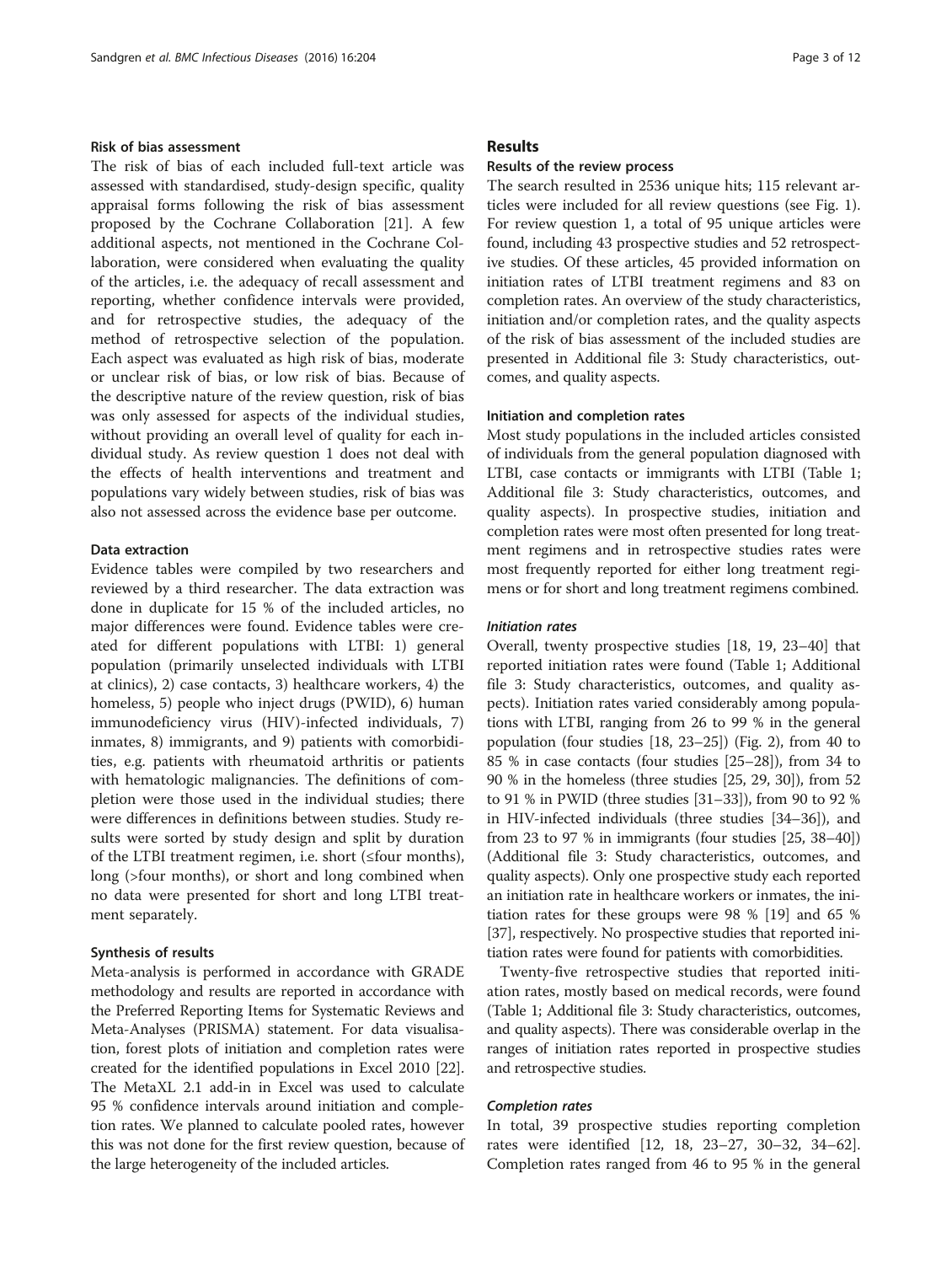#### Risk of bias assessment

The risk of bias of each included full-text article was assessed with standardised, study-design specific, quality appraisal forms following the risk of bias assessment proposed by the Cochrane Collaboration [\[21\]](#page-9-0). A few additional aspects, not mentioned in the Cochrane Collaboration, were considered when evaluating the quality of the articles, i.e. the adequacy of recall assessment and reporting, whether confidence intervals were provided, and for retrospective studies, the adequacy of the method of retrospective selection of the population. Each aspect was evaluated as high risk of bias, moderate or unclear risk of bias, or low risk of bias. Because of the descriptive nature of the review question, risk of bias was only assessed for aspects of the individual studies, without providing an overall level of quality for each individual study. As review question 1 does not deal with the effects of health interventions and treatment and populations vary widely between studies, risk of bias was also not assessed across the evidence base per outcome.

#### Data extraction

Evidence tables were compiled by two researchers and reviewed by a third researcher. The data extraction was done in duplicate for 15 % of the included articles, no major differences were found. Evidence tables were created for different populations with LTBI: 1) general population (primarily unselected individuals with LTBI at clinics), 2) case contacts, 3) healthcare workers, 4) the homeless, 5) people who inject drugs (PWID), 6) human immunodeficiency virus (HIV)-infected individuals, 7) inmates, 8) immigrants, and 9) patients with comorbidities, e.g. patients with rheumatoid arthritis or patients with hematologic malignancies. The definitions of completion were those used in the individual studies; there were differences in definitions between studies. Study results were sorted by study design and split by duration of the LTBI treatment regimen, i.e. short (≤four months), long (>four months), or short and long combined when no data were presented for short and long LTBI treatment separately.

#### Synthesis of results

Meta-analysis is performed in accordance with GRADE methodology and results are reported in accordance with the Preferred Reporting Items for Systematic Reviews and Meta-Analyses (PRISMA) statement. For data visualisation, forest plots of initiation and completion rates were created for the identified populations in Excel 2010 [[22](#page-9-0)]. The MetaXL 2.1 add-in in Excel was used to calculate 95 % confidence intervals around initiation and completion rates. We planned to calculate pooled rates, however this was not done for the first review question, because of the large heterogeneity of the included articles.

#### Results

#### Results of the review process

The search resulted in 2536 unique hits; 115 relevant articles were included for all review questions (see Fig. [1](#page-3-0)). For review question 1, a total of 95 unique articles were found, including 43 prospective studies and 52 retrospective studies. Of these articles, 45 provided information on initiation rates of LTBI treatment regimens and 83 on completion rates. An overview of the study characteristics, initiation and/or completion rates, and the quality aspects of the risk of bias assessment of the included studies are presented in Additional file [3](#page-8-0): Study characteristics, outcomes, and quality aspects.

#### Initiation and completion rates

Most study populations in the included articles consisted of individuals from the general population diagnosed with LTBI, case contacts or immigrants with LTBI (Table [1](#page-4-0); Additional file [3:](#page-8-0) Study characteristics, outcomes, and quality aspects). In prospective studies, initiation and completion rates were most often presented for long treatment regimens and in retrospective studies rates were most frequently reported for either long treatment regimens or for short and long treatment regimens combined.

Overall, twenty prospective studies [[18, 19, 23](#page-9-0)-[40](#page-9-0)] that reported initiation rates were found (Table [1;](#page-4-0) Additional file [3:](#page-8-0) Study characteristics, outcomes, and quality aspects). Initiation rates varied considerably among populations with LTBI, ranging from 26 to 99 % in the general population (four studies [\[18, 23](#page-9-0)–[25\]](#page-9-0)) (Fig. [2](#page-5-0)), from 40 to 85 % in case contacts (four studies [\[25](#page-9-0)–[28](#page-9-0)]), from 34 to 90 % in the homeless (three studies [\[25, 29, 30\]](#page-9-0)), from 52 to 91 % in PWID (three studies [\[31](#page-9-0)–[33](#page-9-0)]), from 90 to 92 % in HIV-infected individuals (three studies [[34](#page-9-0)–[36\]](#page-9-0)), and from 23 to 97 % in immigrants (four studies [\[25, 38](#page-9-0)–[40](#page-9-0)]) (Additional file [3:](#page-8-0) Study characteristics, outcomes, and quality aspects). Only one prospective study each reported an initiation rate in healthcare workers or inmates, the initiation rates for these groups were 98 % [[19](#page-9-0)] and 65 % [[37](#page-9-0)], respectively. No prospective studies that reported initiation rates were found for patients with comorbidities.

Twenty-five retrospective studies that reported initiation rates, mostly based on medical records, were found (Table [1;](#page-4-0) Additional file [3](#page-8-0): Study characteristics, outcomes, and quality aspects). There was considerable overlap in the ranges of initiation rates reported in prospective studies and retrospective studies.

In total, 39 prospective studies reporting completion rates were identified [[12](#page-8-0), [18, 23](#page-9-0)–[27](#page-9-0), [30](#page-9-0)–[32](#page-9-0), [34](#page-9-0)–[62](#page-9-0)]. Completion rates ranged from 46 to 95 % in the general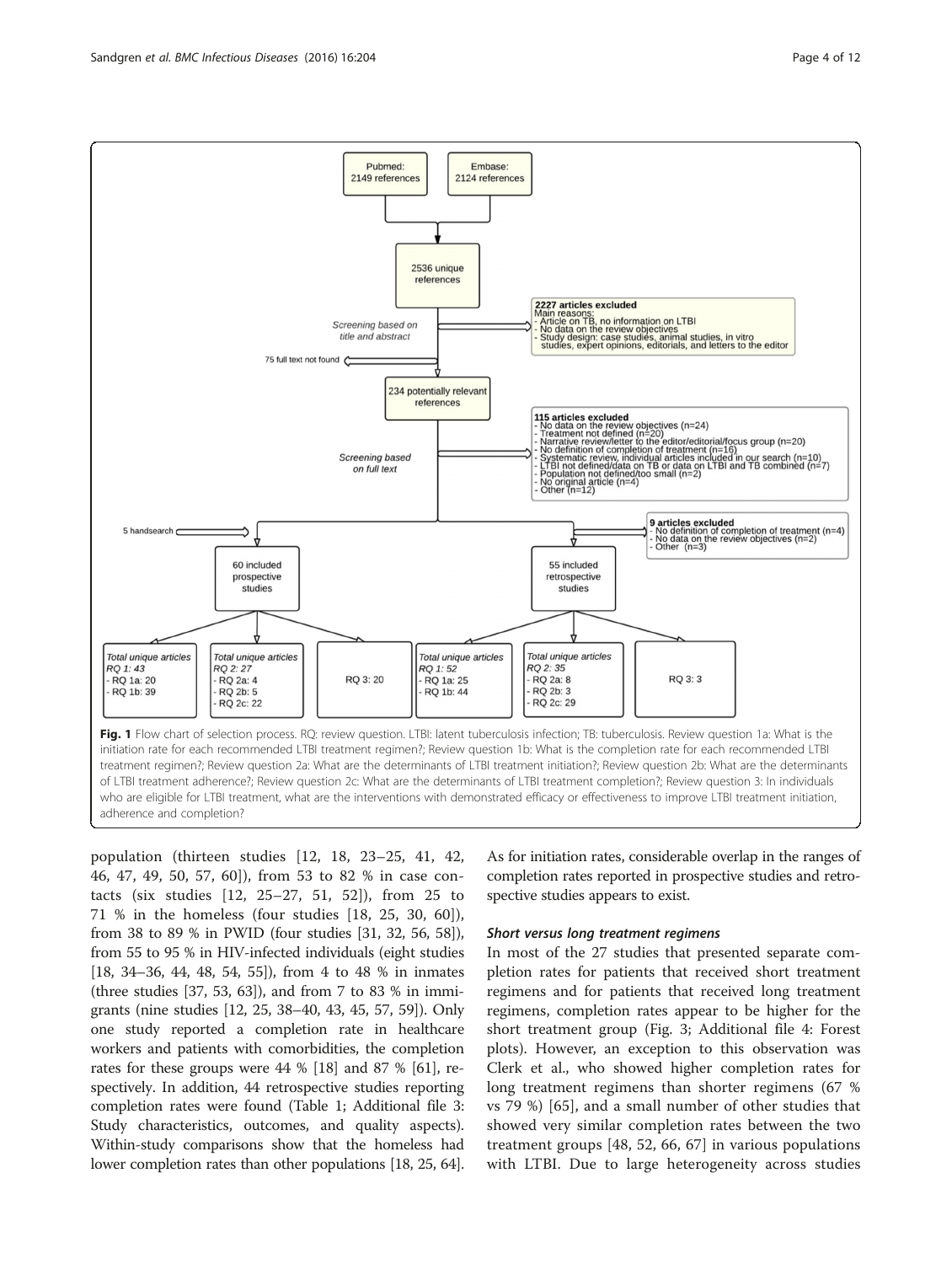<span id="page-3-0"></span>

population (thirteen studies [[12,](#page-8-0) [18](#page-9-0), [23](#page-9-0)–[25](#page-9-0), [41, 42](#page-9-0), [46, 47](#page-9-0), [49](#page-9-0), [50, 57](#page-9-0), [60\]](#page-9-0)), from 53 to 82 % in case contacts (six studies [\[12](#page-8-0), [25](#page-9-0)–[27, 51](#page-9-0), [52](#page-9-0)]), from 25 to 71 % in the homeless (four studies [\[18](#page-9-0), [25, 30, 60\]](#page-9-0)), from 38 to 89 % in PWID (four studies [[31](#page-9-0), [32, 56, 58](#page-9-0)]), from 55 to 95 % in HIV-infected individuals (eight studies [[18](#page-9-0), [34](#page-9-0)–[36, 44, 48, 54, 55\]](#page-9-0)), from 4 to 48 % in inmates (three studies [\[37, 53,](#page-9-0) [63](#page-10-0)]), and from 7 to 83 % in immigrants (nine studies [\[12,](#page-8-0) [25, 38](#page-9-0)–[40](#page-9-0), [43, 45, 57, 59](#page-9-0)]). Only one study reported a completion rate in healthcare workers and patients with comorbidities, the completion rates for these groups were 44 % [\[18\]](#page-9-0) and 87 % [[61](#page-9-0)], respectively. In addition, 44 retrospective studies reporting completion rates were found (Table [1](#page-4-0); Additional file [3](#page-8-0): Study characteristics, outcomes, and quality aspects). Within-study comparisons show that the homeless had lower completion rates than other populations [\[18, 25,](#page-9-0) [64](#page-10-0)]. As for initiation rates, considerable overlap in the ranges of completion rates reported in prospective studies and retrospective studies appears to exist.

In most of the 27 studies that presented separate completion rates for patients that received short treatment regimens and for patients that received long treatment regimens, completion rates appear to be higher for the short treatment group (Fig. [3](#page-6-0); Additional file [4:](#page-8-0) Forest plots). However, an exception to this observation was Clerk et al., who showed higher completion rates for long treatment regimens than shorter regimens (67 % vs 79 %) [[65\]](#page-10-0), and a small number of other studies that showed very similar completion rates between the two treatment groups [\[48](#page-9-0), [52,](#page-9-0) [66, 67](#page-10-0)] in various populations with LTBI. Due to large heterogeneity across studies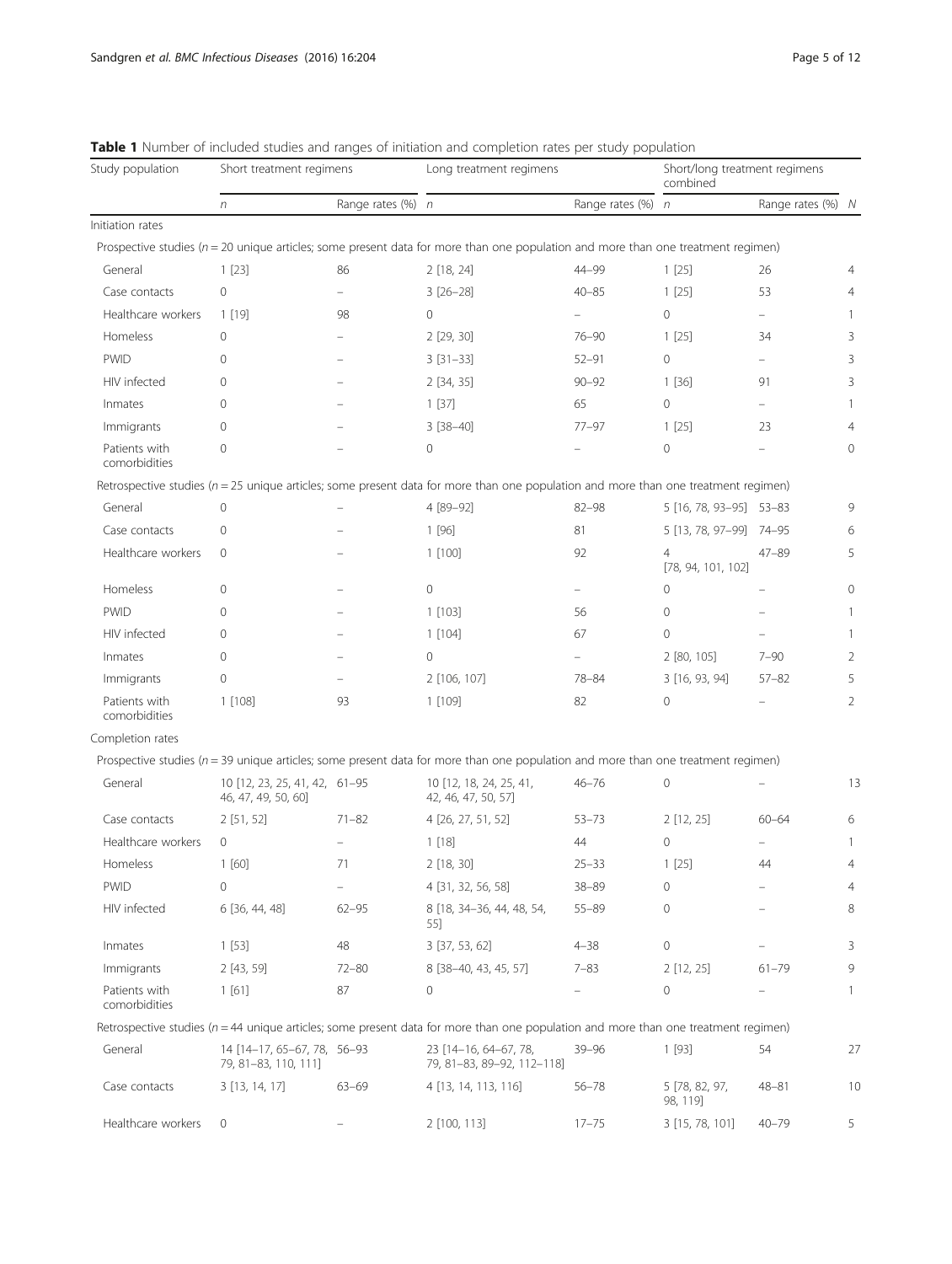| Study population               | Short treatment regimens                             |                   | Long treatment regimens                                                                                                               |                   | Short/long treatment regimens<br>combined |                          |                |
|--------------------------------|------------------------------------------------------|-------------------|---------------------------------------------------------------------------------------------------------------------------------------|-------------------|-------------------------------------------|--------------------------|----------------|
|                                | $\sqrt{n}$                                           | Range rates (%) n |                                                                                                                                       | Range rates (%) n |                                           | Range rates (%) N        |                |
| Initiation rates               |                                                      |                   |                                                                                                                                       |                   |                                           |                          |                |
|                                |                                                      |                   | Prospective studies ( $n = 20$ unique articles; some present data for more than one population and more than one treatment regimen)   |                   |                                           |                          |                |
| General                        | 1 [23]                                               | 86                | 2 [18, 24]                                                                                                                            | 44-99             | 1[25]                                     | 26                       | $\overline{4}$ |
| Case contacts                  | $\mathbf{0}$                                         |                   | $3[26-28]$                                                                                                                            | $40 - 85$         | 1[25]                                     | 53                       | 4              |
| Healthcare workers             | 1[19]                                                | 98                | $\Omega$                                                                                                                              |                   | $\overline{0}$                            | $\overline{\phantom{0}}$ | 1              |
| Homeless                       | $\mathbf 0$                                          |                   | $2$ [29, 30]                                                                                                                          | $76 - 90$         | 1[25]                                     | 34                       | 3              |
| <b>PWID</b>                    | $\Omega$                                             |                   | $3[31-33]$                                                                                                                            | $52 - 91$         | $\circ$                                   | $\overline{\phantom{0}}$ | 3              |
| HIV infected                   | $\Omega$                                             |                   | 2 [34, 35]                                                                                                                            | $90 - 92$         | 1[36]                                     | 91                       | 3              |
| Inmates                        | $\mathbf 0$                                          |                   | 1[37]                                                                                                                                 | 65                | 0                                         |                          | 1              |
| Immigrants                     | $\Omega$                                             |                   | $3[38-40]$                                                                                                                            | $77 - 97$         | 1[25]                                     | 23                       | $\overline{4}$ |
| Patients with<br>comorbidities | $\mathbf{0}$                                         |                   | $\mathbf 0$                                                                                                                           |                   | $\mathbf 0$                               |                          | $\circ$        |
|                                |                                                      |                   | Retrospective studies ( $n = 25$ unique articles; some present data for more than one population and more than one treatment regimen) |                   |                                           |                          |                |
| General                        | $\mathbf{0}$                                         |                   | 4 [89-92]                                                                                                                             | $82 - 98$         | 5 [16, 78, 93-95] 53-83                   |                          | 9              |
| Case contacts                  | $\mathbf 0$                                          |                   | 1[96]                                                                                                                                 | 81                | 5 [13, 78, 97-99] 74-95                   |                          | 6              |
| Healthcare workers             | $\mathbf{0}$                                         |                   | 1 [100]                                                                                                                               | 92                | 4<br>[78, 94, 101, 102]                   | $47 - 89$                | 5              |
| Homeless                       | $\mathbf{0}$                                         |                   | $\circ$                                                                                                                               |                   | 0                                         |                          | $\mathbf{0}$   |
| <b>PWID</b>                    | $\Omega$                                             |                   | $1$ [103]                                                                                                                             | 56                | $\mathbf{0}$                              |                          | 1              |
| HIV infected                   | 0                                                    |                   | 1[104]                                                                                                                                | 67                | $\overline{0}$                            |                          | 1              |
| Inmates                        | $\Omega$                                             |                   | 0                                                                                                                                     |                   | 2[80, 105]                                | $7 - 90$                 | $\overline{2}$ |
| Immigrants                     | $\Omega$                                             |                   | 2 [106, 107]                                                                                                                          | $78 - 84$         | 3 [16, 93, 94]                            | $57 - 82$                | 5              |
| Patients with<br>comorbidities | 1 [108]                                              | 93                | 1 [109]                                                                                                                               | 82                | 0                                         |                          | 2              |
| Completion rates               |                                                      |                   |                                                                                                                                       |                   |                                           |                          |                |
|                                |                                                      |                   | Prospective studies ( $n = 39$ unique articles; some present data for more than one population and more than one treatment regimen)   |                   |                                           |                          |                |
| General                        | 10 [12, 23, 25, 41, 42, 61-95<br>46, 47, 49, 50, 60] |                   | 10 [12, 18, 24, 25, 41,<br>42, 46, 47, 50, 57]                                                                                        | $46 - 76$         | $\mathbf 0$                               |                          | 13             |
| Case contacts                  | 2[51, 52]                                            | $71 - 82$         | 4 [26, 27, 51, 52]                                                                                                                    | $53 - 73$         | 2 [12, 25]                                | $60 - 64$                | 6              |
| Healthcare workers             | $\mathbf{0}$                                         |                   | 1[18]                                                                                                                                 | 44                | $\mathbf{0}$                              |                          | $\mathbf{1}$   |
| Homeless                       | 1 [60]                                               | 71                | 2 [18, 30]                                                                                                                            | $25 - 33$         | 1[25]                                     | 44                       | 4              |
| <b>PWID</b>                    | $\circ$                                              |                   | 4 [31, 32, 56, 58]                                                                                                                    | $38 - 89$         | 0                                         |                          | 4              |
| HIV infected                   | 6 [36, 44, 48]                                       | $62 - 95$         | 8 [18, 34-36, 44, 48, 54,<br>55]                                                                                                      | $55 - 89$         | 0                                         |                          | 8              |
| Inmates                        | 1[53]                                                | 48                | 3 [37, 53, 62]                                                                                                                        | 4–38              | 0                                         |                          | 3              |
| <i>Immigrants</i>              | 2 [43, 59]                                           | $72 - 80$         | 8 [38-40, 43, 45, 57]                                                                                                                 | $7 - 83$          | 2[12, 25]                                 | $61 - 79$                | 9              |
| Patients with<br>comorbidities | 1[61]                                                | 87                | $\mathbf{0}$                                                                                                                          |                   | 0                                         |                          | $\mathbf{1}$   |
|                                |                                                      |                   | Retrospective studies ( $n = 44$ unique articles; some present data for more than one population and more than one treatment regimen) |                   |                                           |                          |                |
| General                        | 14 [14-17, 65-67, 78, 56-93<br>79, 81-83, 110, 111]  |                   | 23 [14-16, 64-67, 78,<br>79, 81-83, 89-92, 112-118]                                                                                   | $39 - 96$         | 1[93]                                     | 54                       | 27             |
| Case contacts                  | 3 [13, 14, 17]                                       | $63 - 69$         | 4 [13, 14, 113, 116]                                                                                                                  | $56 - 78$         | 5 [78, 82, 97,<br>98, 119]                | $48 - 81$                | 10             |
| Healthcare workers             | 0                                                    |                   | 2 [100, 113]                                                                                                                          | $17 - 75$         | 3 [15, 78, 101]                           | $40 - 79$                | 5              |

## <span id="page-4-0"></span>Table 1 Number of included studies and ranges of initiation and completion rates per study population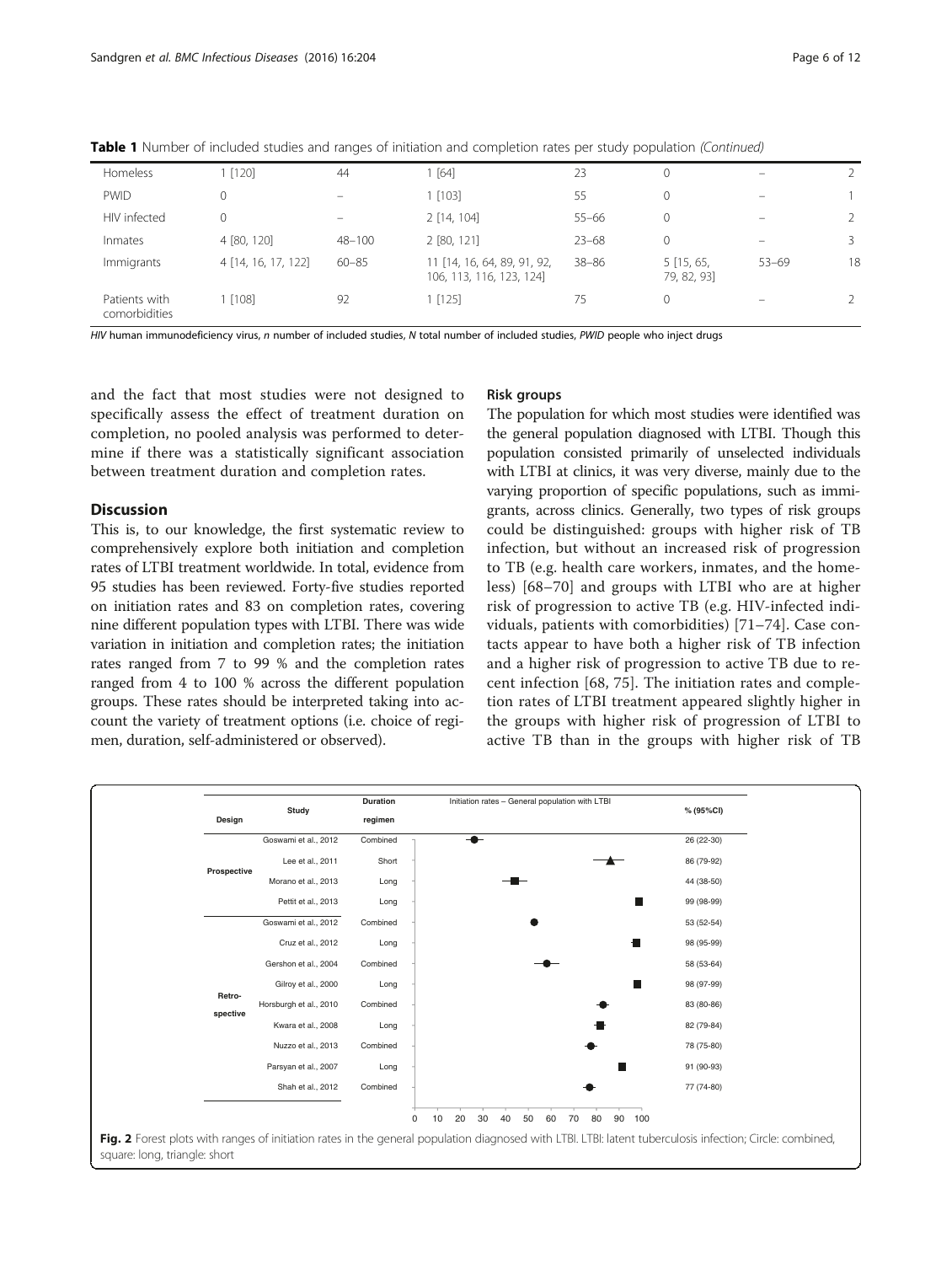| Homeless                       | [120]               | 44                       | 1[64]                                                   | 23        |                           |                          |    |
|--------------------------------|---------------------|--------------------------|---------------------------------------------------------|-----------|---------------------------|--------------------------|----|
| <b>PWID</b>                    |                     | $\overline{\phantom{m}}$ | $1$ [103]                                               | 55        | 0                         | $\overline{\phantom{0}}$ |    |
| HIV infected                   |                     |                          | 2 [14, 104]                                             | $55 - 66$ | 0                         |                          |    |
| Inmates                        | 4 [80, 120]         | $48 - 100$               | 2 [80, 121]                                             | $23 - 68$ | 0                         | $\overline{\phantom{0}}$ | 3  |
| Immigrants                     | 4 [14, 16, 17, 122] | $60 - 85$                | 11 [14, 16, 64, 89, 91, 92,<br>106, 113, 116, 123, 124] | $38 - 86$ | 5 [15, 65,<br>79, 82, 93] | $53 - 69$                | 18 |
| Patients with<br>comorbidities | 1 [108]             | 92                       | 1 [125]                                                 | 75        | 0                         | $\overline{\phantom{0}}$ |    |

<span id="page-5-0"></span>Table 1 Number of included studies and ranges of initiation and completion rates per study population (Continued)

HIV human immunodeficiency virus, n number of included studies, N total number of included studies, PWID people who inject drugs

and the fact that most studies were not designed to specifically assess the effect of treatment duration on completion, no pooled analysis was performed to determine if there was a statistically significant association between treatment duration and completion rates.

#### Discussion

This is, to our knowledge, the first systematic review to comprehensively explore both initiation and completion rates of LTBI treatment worldwide. In total, evidence from 95 studies has been reviewed. Forty-five studies reported on initiation rates and 83 on completion rates, covering nine different population types with LTBI. There was wide variation in initiation and completion rates; the initiation rates ranged from 7 to 99 % and the completion rates ranged from 4 to 100 % across the different population groups. These rates should be interpreted taking into account the variety of treatment options (i.e. choice of regimen, duration, self-administered or observed).

#### Risk groups

The population for which most studies were identified was the general population diagnosed with LTBI. Though this population consisted primarily of unselected individuals with LTBI at clinics, it was very diverse, mainly due to the varying proportion of specific populations, such as immigrants, across clinics. Generally, two types of risk groups could be distinguished: groups with higher risk of TB infection, but without an increased risk of progression to TB (e.g. health care workers, inmates, and the homeless) [\[68](#page-10-0)–[70](#page-10-0)] and groups with LTBI who are at higher risk of progression to active TB (e.g. HIV-infected individuals, patients with comorbidities) [[71](#page-10-0)–[74\]](#page-10-0). Case contacts appear to have both a higher risk of TB infection and a higher risk of progression to active TB due to recent infection [[68, 75](#page-10-0)]. The initiation rates and completion rates of LTBI treatment appeared slightly higher in the groups with higher risk of progression of LTBI to active TB than in the groups with higher risk of TB

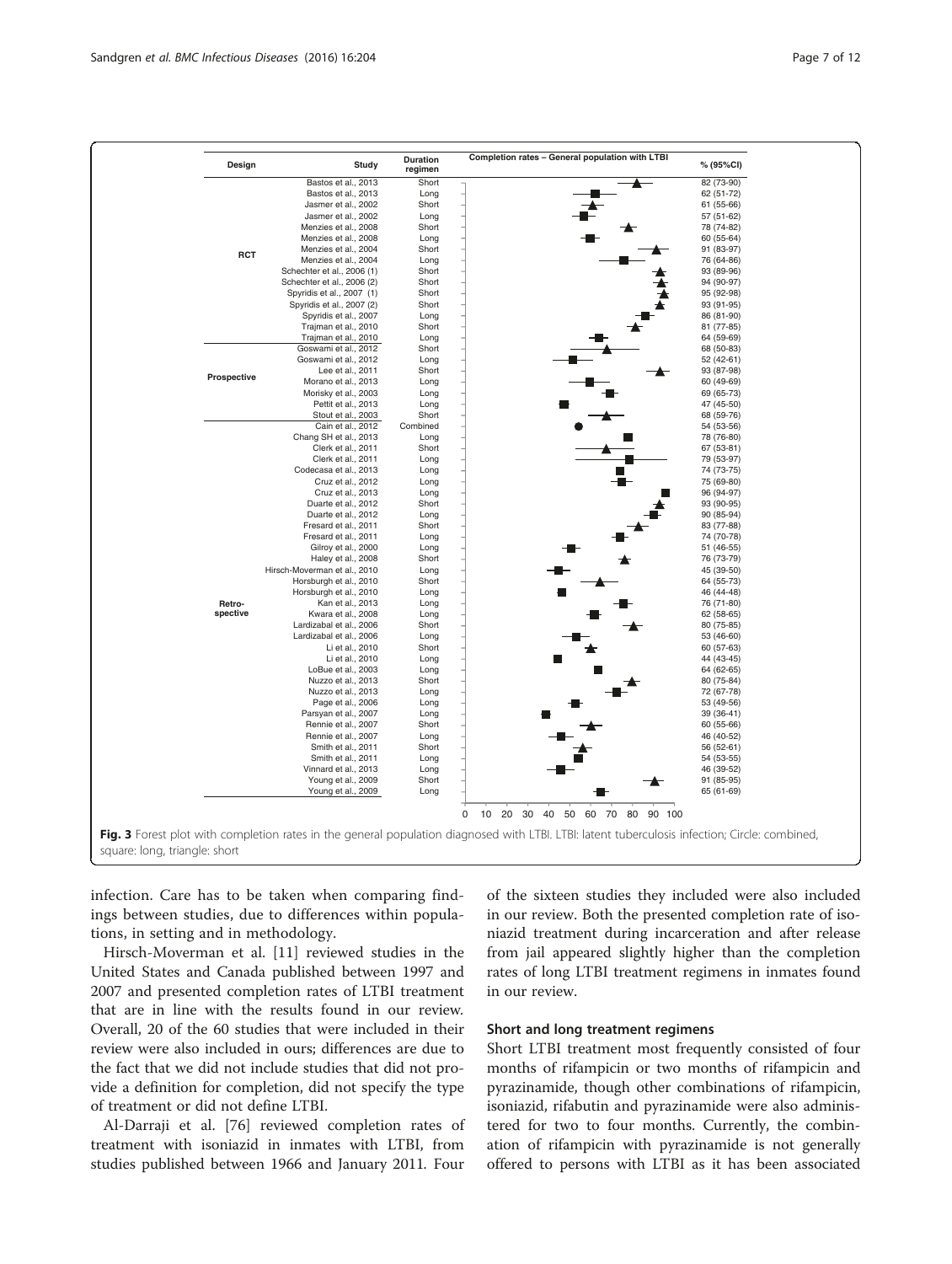<span id="page-6-0"></span>

infection. Care has to be taken when comparing findings between studies, due to differences within populations, in setting and in methodology.

Hirsch-Moverman et al. [[11\]](#page-8-0) reviewed studies in the United States and Canada published between 1997 and 2007 and presented completion rates of LTBI treatment that are in line with the results found in our review. Overall, 20 of the 60 studies that were included in their review were also included in ours; differences are due to the fact that we did not include studies that did not provide a definition for completion, did not specify the type of treatment or did not define LTBI.

Al-Darraji et al. [[76\]](#page-10-0) reviewed completion rates of treatment with isoniazid in inmates with LTBI, from studies published between 1966 and January 2011. Four of the sixteen studies they included were also included in our review. Both the presented completion rate of isoniazid treatment during incarceration and after release from jail appeared slightly higher than the completion rates of long LTBI treatment regimens in inmates found in our review.

#### Short and long treatment regimens

Short LTBI treatment most frequently consisted of four months of rifampicin or two months of rifampicin and pyrazinamide, though other combinations of rifampicin, isoniazid, rifabutin and pyrazinamide were also administered for two to four months. Currently, the combination of rifampicin with pyrazinamide is not generally offered to persons with LTBI as it has been associated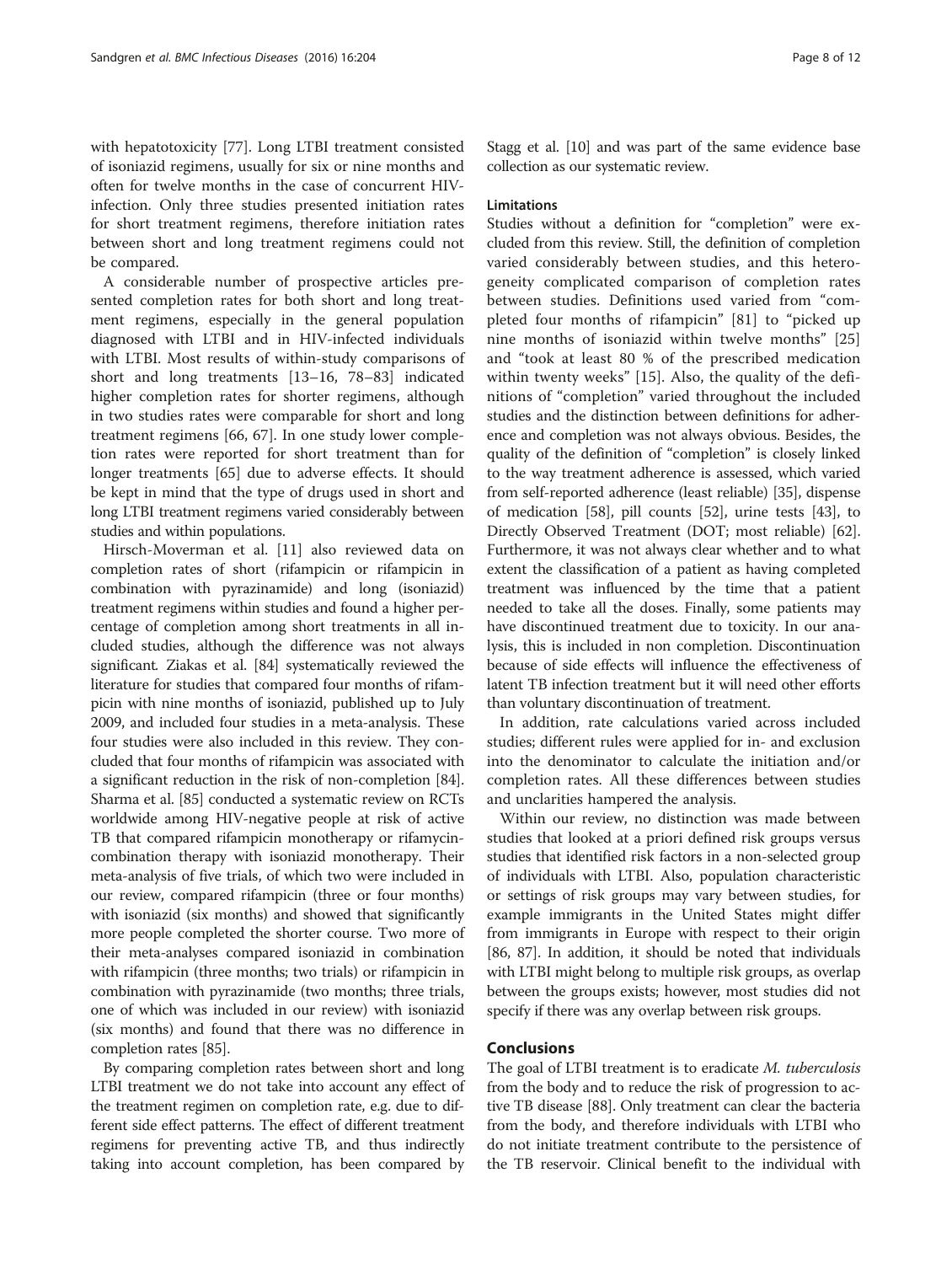with hepatotoxicity [[77](#page-10-0)]. Long LTBI treatment consisted of isoniazid regimens, usually for six or nine months and often for twelve months in the case of concurrent HIVinfection. Only three studies presented initiation rates for short treatment regimens, therefore initiation rates between short and long treatment regimens could not be compared.

A considerable number of prospective articles presented completion rates for both short and long treatment regimens, especially in the general population diagnosed with LTBI and in HIV-infected individuals with LTBI. Most results of within-study comparisons of short and long treatments [[13](#page-8-0)–[16](#page-8-0), [78](#page-10-0)–[83\]](#page-10-0) indicated higher completion rates for shorter regimens, although in two studies rates were comparable for short and long treatment regimens [\[66, 67](#page-10-0)]. In one study lower completion rates were reported for short treatment than for longer treatments [[65\]](#page-10-0) due to adverse effects. It should be kept in mind that the type of drugs used in short and long LTBI treatment regimens varied considerably between studies and within populations.

Hirsch-Moverman et al. [\[11](#page-8-0)] also reviewed data on completion rates of short (rifampicin or rifampicin in combination with pyrazinamide) and long (isoniazid) treatment regimens within studies and found a higher percentage of completion among short treatments in all included studies, although the difference was not always significant. Ziakas et al. [[84\]](#page-10-0) systematically reviewed the literature for studies that compared four months of rifampicin with nine months of isoniazid, published up to July 2009, and included four studies in a meta-analysis. These four studies were also included in this review. They concluded that four months of rifampicin was associated with a significant reduction in the risk of non-completion [[84](#page-10-0)]. Sharma et al. [[85\]](#page-10-0) conducted a systematic review on RCTs worldwide among HIV-negative people at risk of active TB that compared rifampicin monotherapy or rifamycincombination therapy with isoniazid monotherapy. Their meta-analysis of five trials, of which two were included in our review, compared rifampicin (three or four months) with isoniazid (six months) and showed that significantly more people completed the shorter course. Two more of their meta-analyses compared isoniazid in combination with rifampicin (three months; two trials) or rifampicin in combination with pyrazinamide (two months; three trials, one of which was included in our review) with isoniazid (six months) and found that there was no difference in completion rates [\[85\]](#page-10-0).

By comparing completion rates between short and long LTBI treatment we do not take into account any effect of the treatment regimen on completion rate, e.g. due to different side effect patterns. The effect of different treatment regimens for preventing active TB, and thus indirectly taking into account completion, has been compared by Stagg et al. [\[10](#page-8-0)] and was part of the same evidence base collection as our systematic review.

#### **Limitations**

Studies without a definition for "completion" were excluded from this review. Still, the definition of completion varied considerably between studies, and this heterogeneity complicated comparison of completion rates between studies. Definitions used varied from "completed four months of rifampicin" [[81\]](#page-10-0) to "picked up nine months of isoniazid within twelve months" [\[25](#page-9-0)] and "took at least 80 % of the prescribed medication within twenty weeks" [[15\]](#page-8-0). Also, the quality of the definitions of "completion" varied throughout the included studies and the distinction between definitions for adherence and completion was not always obvious. Besides, the quality of the definition of "completion" is closely linked to the way treatment adherence is assessed, which varied from self-reported adherence (least reliable) [[35](#page-9-0)], dispense of medication [\[58\]](#page-9-0), pill counts [\[52](#page-9-0)], urine tests [\[43\]](#page-9-0), to Directly Observed Treatment (DOT; most reliable) [[62](#page-9-0)]. Furthermore, it was not always clear whether and to what extent the classification of a patient as having completed treatment was influenced by the time that a patient needed to take all the doses. Finally, some patients may have discontinued treatment due to toxicity. In our analysis, this is included in non completion. Discontinuation because of side effects will influence the effectiveness of latent TB infection treatment but it will need other efforts than voluntary discontinuation of treatment.

In addition, rate calculations varied across included studies; different rules were applied for in- and exclusion into the denominator to calculate the initiation and/or completion rates. All these differences between studies and unclarities hampered the analysis.

Within our review, no distinction was made between studies that looked at a priori defined risk groups versus studies that identified risk factors in a non-selected group of individuals with LTBI. Also, population characteristic or settings of risk groups may vary between studies, for example immigrants in the United States might differ from immigrants in Europe with respect to their origin [[86](#page-10-0), [87](#page-10-0)]. In addition, it should be noted that individuals with LTBI might belong to multiple risk groups, as overlap between the groups exists; however, most studies did not specify if there was any overlap between risk groups.

#### Conclusions

The goal of LTBI treatment is to eradicate *M. tuberculosis* from the body and to reduce the risk of progression to active TB disease [\[88](#page-10-0)]. Only treatment can clear the bacteria from the body, and therefore individuals with LTBI who do not initiate treatment contribute to the persistence of the TB reservoir. Clinical benefit to the individual with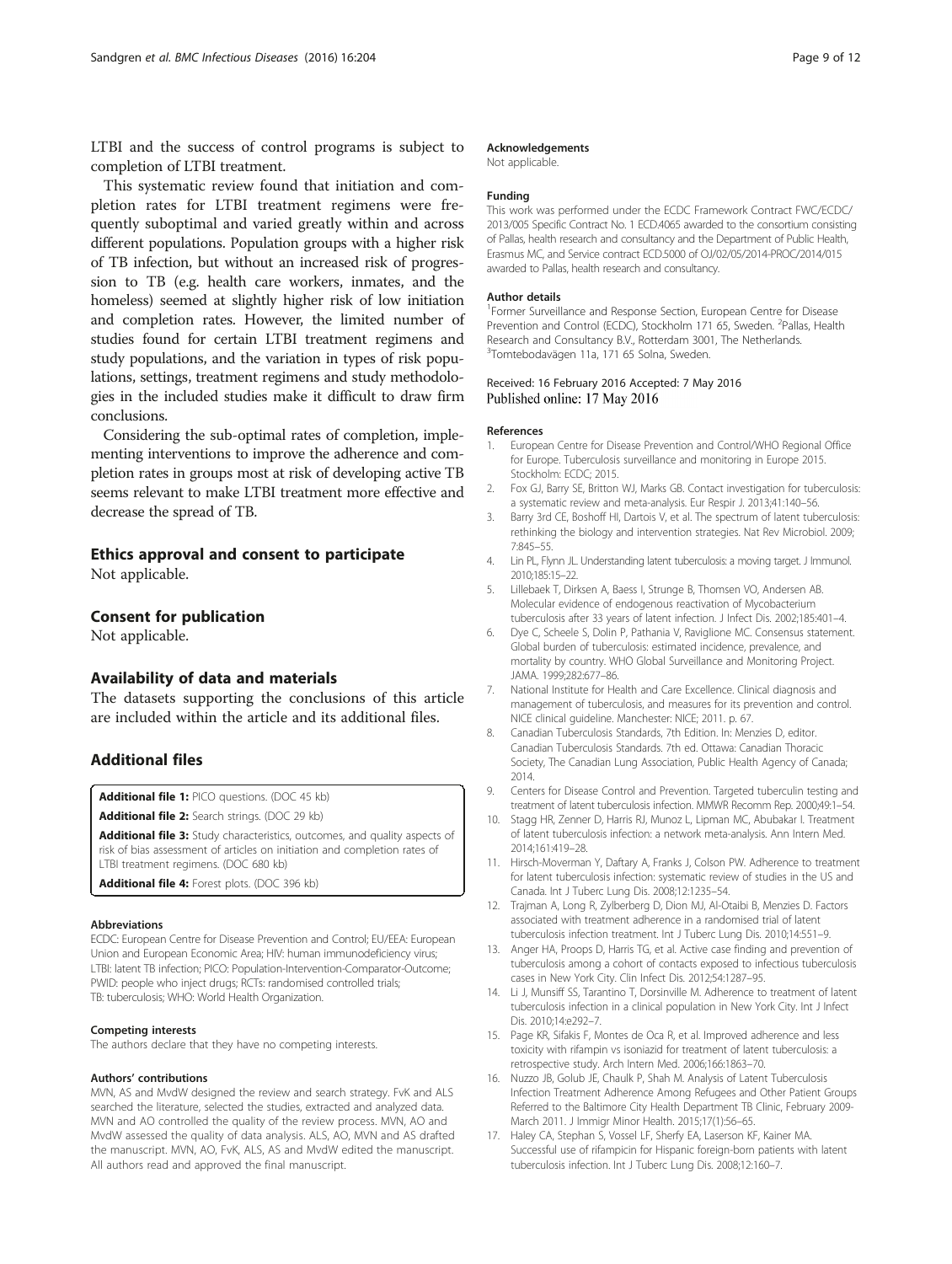<span id="page-8-0"></span>LTBI and the success of control programs is subject to completion of LTBI treatment.

This systematic review found that initiation and completion rates for LTBI treatment regimens were frequently suboptimal and varied greatly within and across different populations. Population groups with a higher risk of TB infection, but without an increased risk of progression to TB (e.g. health care workers, inmates, and the homeless) seemed at slightly higher risk of low initiation and completion rates. However, the limited number of studies found for certain LTBI treatment regimens and study populations, and the variation in types of risk populations, settings, treatment regimens and study methodologies in the included studies make it difficult to draw firm conclusions.

Considering the sub-optimal rates of completion, implementing interventions to improve the adherence and completion rates in groups most at risk of developing active TB seems relevant to make LTBI treatment more effective and decrease the spread of TB.

#### Ethics approval and consent to participate

Not applicable.

#### Consent for publication

Not applicable.

#### Availability of data and materials

The datasets supporting the conclusions of this article are included within the article and its additional files.

#### Additional files

[Additional file 1:](dx.doi.org/10.1186/s12879-016-1550-y) PICO questions. (DOC 45 kb)

[Additional file 2:](dx.doi.org/10.1186/s12879-016-1550-y) Search strings. (DOC 29 kb)

[Additional file 3:](dx.doi.org/10.1186/s12879-016-1550-y) Study characteristics, outcomes, and quality aspects of risk of bias assessment of articles on initiation and completion rates of LTBI treatment regimens. (DOC 680 kb)

[Additional file 4:](dx.doi.org/10.1186/s12879-016-1550-y) Forest plots. (DOC 396 kb)

#### Abbreviations

ECDC: European Centre for Disease Prevention and Control; EU/EEA: European Union and European Economic Area; HIV: human immunodeficiency virus; LTBI: latent TB infection; PICO: Population-Intervention-Comparator-Outcome; PWID: people who inject drugs; RCTs: randomised controlled trials; TB: tuberculosis; WHO: World Health Organization.

#### Competing interests

The authors declare that they have no competing interests.

#### Authors' contributions

MVN, AS and MvdW designed the review and search strategy. FvK and ALS searched the literature, selected the studies, extracted and analyzed data. MVN and AO controlled the quality of the review process. MVN, AO and MvdW assessed the quality of data analysis. ALS, AO, MVN and AS drafted the manuscript. MVN, AO, FvK, ALS, AS and MvdW edited the manuscript. All authors read and approved the final manuscript.

#### Acknowledgements

Not applicable.

#### Funding

This work was performed under the ECDC Framework Contract FWC/ECDC/ 2013/005 Specific Contract No. 1 ECD.4065 awarded to the consortium consisting of Pallas, health research and consultancy and the Department of Public Health, Erasmus MC, and Service contract ECD.5000 of OJ/02/05/2014-PROC/2014/015 awarded to Pallas, health research and consultancy.

#### Author details

<sup>1</sup>Former Surveillance and Response Section, European Centre for Disease Prevention and Control (ECDC), Stockholm 171 65, Sweden. <sup>2</sup>Pallas, Health Research and Consultancy B.V., Rotterdam 3001, The Netherlands. 3 Tomtebodavägen 11a, 171 65 Solna, Sweden.

#### Received: 16 February 2016 Accepted: 7 May 2016 Published online: 17 May 2016

#### References

- 1. European Centre for Disease Prevention and Control/WHO Regional Office for Europe. Tuberculosis surveillance and monitoring in Europe 2015. Stockholm: ECDC; 2015.
- 2. Fox GJ, Barry SE, Britton WJ, Marks GB. Contact investigation for tuberculosis: a systematic review and meta-analysis. Eur Respir J. 2013;41:140–56.
- 3. Barry 3rd CE, Boshoff HI, Dartois V, et al. The spectrum of latent tuberculosis: rethinking the biology and intervention strategies. Nat Rev Microbiol. 2009; 7:845–55.
- 4. Lin PL, Flynn JL. Understanding latent tuberculosis: a moving target. J Immunol. 2010;185:15–22.
- Lillebaek T, Dirksen A, Baess I, Strunge B, Thomsen VO, Andersen AB. Molecular evidence of endogenous reactivation of Mycobacterium tuberculosis after 33 years of latent infection. J Infect Dis. 2002;185:401–4.
- 6. Dye C, Scheele S, Dolin P, Pathania V, Raviglione MC. Consensus statement. Global burden of tuberculosis: estimated incidence, prevalence, and mortality by country. WHO Global Surveillance and Monitoring Project. JAMA. 1999;282:677–86.
- 7. National Institute for Health and Care Excellence. Clinical diagnosis and management of tuberculosis, and measures for its prevention and control. NICE clinical guideline. Manchester: NICE; 2011. p. 67.
- Canadian Tuberculosis Standards, 7th Edition. In: Menzies D, editor. Canadian Tuberculosis Standards. 7th ed. Ottawa: Canadian Thoracic Society, The Canadian Lung Association, Public Health Agency of Canada; 2014.
- 9. Centers for Disease Control and Prevention. Targeted tuberculin testing and treatment of latent tuberculosis infection. MMWR Recomm Rep. 2000;49:1–54.
- 10. Stagg HR, Zenner D, Harris RJ, Munoz L, Lipman MC, Abubakar I. Treatment of latent tuberculosis infection: a network meta-analysis. Ann Intern Med. 2014;161:419–28.
- 11. Hirsch-Moverman Y, Daftary A, Franks J, Colson PW. Adherence to treatment for latent tuberculosis infection: systematic review of studies in the US and Canada. Int J Tuberc Lung Dis. 2008;12:1235–54.
- 12. Trajman A, Long R, Zylberberg D, Dion MJ, Al-Otaibi B, Menzies D. Factors associated with treatment adherence in a randomised trial of latent tuberculosis infection treatment. Int J Tuberc Lung Dis. 2010;14:551–9.
- 13. Anger HA, Proops D, Harris TG, et al. Active case finding and prevention of tuberculosis among a cohort of contacts exposed to infectious tuberculosis cases in New York City. Clin Infect Dis. 2012;54:1287–95.
- 14. Li J, Munsiff SS, Tarantino T, Dorsinville M. Adherence to treatment of latent tuberculosis infection in a clinical population in New York City. Int J Infect Dis. 2010;14:e292–7.
- 15. Page KR, Sifakis F, Montes de Oca R, et al. Improved adherence and less toxicity with rifampin vs isoniazid for treatment of latent tuberculosis: a retrospective study. Arch Intern Med. 2006;166:1863–70.
- 16. Nuzzo JB, Golub JE, Chaulk P, Shah M. Analysis of Latent Tuberculosis Infection Treatment Adherence Among Refugees and Other Patient Groups Referred to the Baltimore City Health Department TB Clinic, February 2009- March 2011. J Immigr Minor Health. 2015;17(1):56–65.
- 17. Haley CA, Stephan S, Vossel LF, Sherfy EA, Laserson KF, Kainer MA. Successful use of rifampicin for Hispanic foreign-born patients with latent tuberculosis infection. Int J Tuberc Lung Dis. 2008;12:160–7.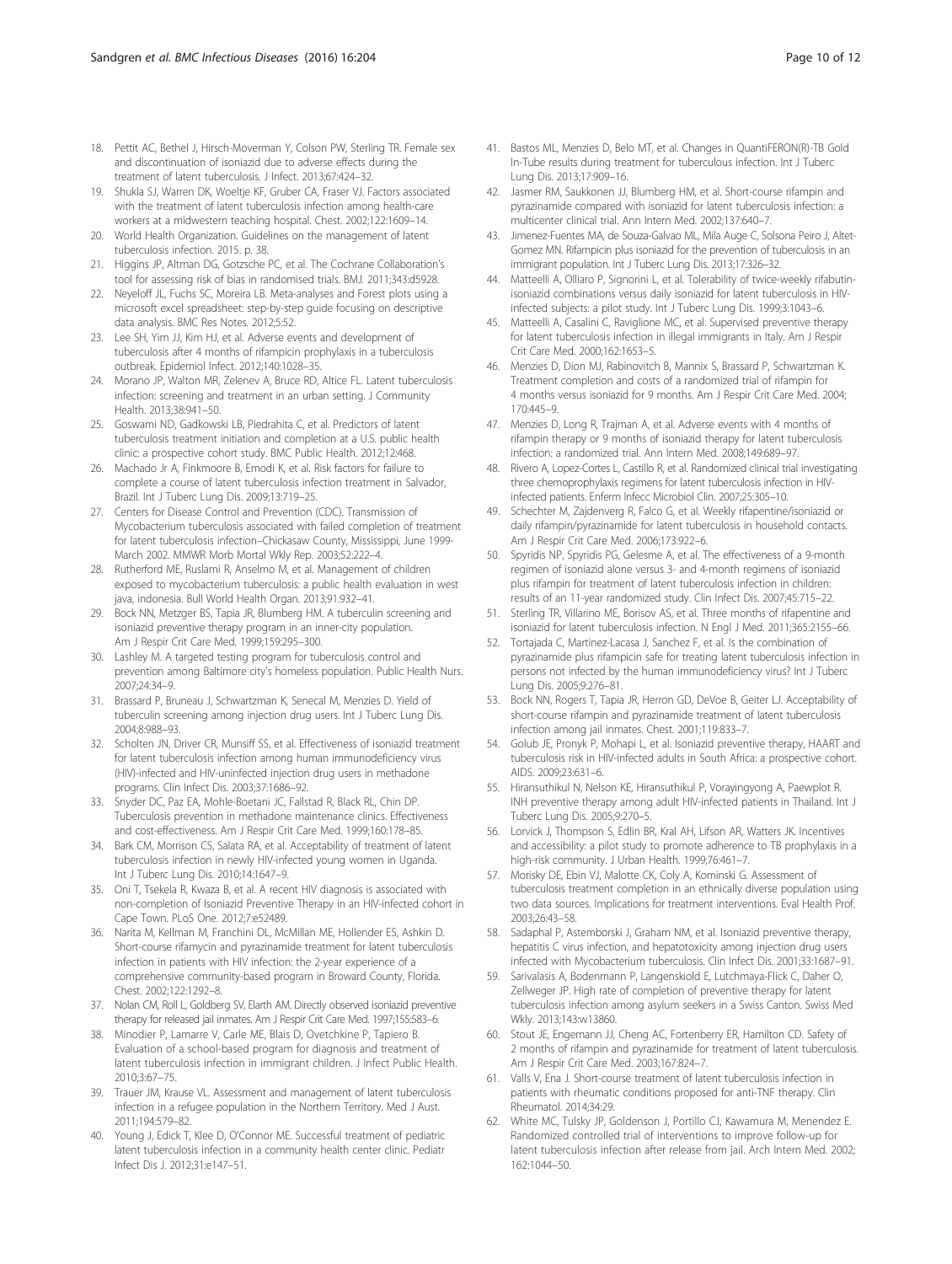- <span id="page-9-0"></span>18. Pettit AC, Bethel J, Hirsch-Moverman Y, Colson PW, Sterling TR. Female sex and discontinuation of isoniazid due to adverse effects during the treatment of latent tuberculosis. J Infect. 2013;67:424–32.
- 19. Shukla SJ, Warren DK, Woeltje KF, Gruber CA, Fraser VJ. Factors associated with the treatment of latent tuberculosis infection among health-care workers at a midwestern teaching hospital. Chest. 2002;122:1609–14.
- 20. World Health Organization. Guidelines on the management of latent tuberculosis infection. 2015. p. 38.
- 21. Higgins JP, Altman DG, Gotzsche PC, et al. The Cochrane Collaboration's tool for assessing risk of bias in randomised trials. BMJ. 2011;343:d5928.
- 22. Neyeloff JL, Fuchs SC, Moreira LB. Meta-analyses and Forest plots using a microsoft excel spreadsheet: step-by-step guide focusing on descriptive data analysis. BMC Res Notes. 2012;5:52.
- 23. Lee SH, Yim JJ, Kim HJ, et al. Adverse events and development of tuberculosis after 4 months of rifampicin prophylaxis in a tuberculosis outbreak. Epidemiol Infect. 2012;140:1028–35.
- 24. Morano JP, Walton MR, Zelenev A, Bruce RD, Altice FL. Latent tuberculosis infection: screening and treatment in an urban setting. J Community Health. 2013;38:941–50.
- 25. Goswami ND, Gadkowski LB, Piedrahita C, et al. Predictors of latent tuberculosis treatment initiation and completion at a U.S. public health clinic: a prospective cohort study. BMC Public Health. 2012;12:468.
- 26. Machado Jr A, Finkmoore B, Emodi K, et al. Risk factors for failure to complete a course of latent tuberculosis infection treatment in Salvador, Brazil. Int J Tuberc Lung Dis. 2009;13:719–25.
- 27. Centers for Disease Control and Prevention (CDC). Transmission of Mycobacterium tuberculosis associated with failed completion of treatment for latent tuberculosis infection–Chickasaw County, Mississippi, June 1999- March 2002. MMWR Morb Mortal Wkly Rep. 2003;52:222–4.
- 28. Rutherford ME, Ruslami R, Anselmo M, et al. Management of children exposed to mycobacterium tuberculosis: a public health evaluation in west java, indonesia. Bull World Health Organ. 2013;91:932–41.
- 29. Bock NN, Metzger BS, Tapia JR, Blumberg HM. A tuberculin screening and isoniazid preventive therapy program in an inner-city population. Am J Respir Crit Care Med. 1999;159:295–300.
- 30. Lashley M. A targeted testing program for tuberculosis control and prevention among Baltimore city's homeless population. Public Health Nurs. 2007;24:34–9.
- 31. Brassard P, Bruneau J, Schwartzman K, Senecal M, Menzies D. Yield of tuberculin screening among injection drug users. Int J Tuberc Lung Dis. 2004;8:988–93.
- 32. Scholten JN, Driver CR, Munsiff SS, et al. Effectiveness of isoniazid treatment for latent tuberculosis infection among human immunodeficiency virus (HIV)-infected and HIV-uninfected injection drug users in methadone programs. Clin Infect Dis. 2003;37:1686–92.
- 33. Snyder DC, Paz EA, Mohle-Boetani JC, Fallstad R, Black RL, Chin DP. Tuberculosis prevention in methadone maintenance clinics. Effectiveness and cost-effectiveness. Am J Respir Crit Care Med. 1999;160:178-85.
- 34. Bark CM, Morrison CS, Salata RA, et al. Acceptability of treatment of latent tuberculosis infection in newly HIV-infected young women in Uganda. Int J Tuberc Lung Dis. 2010;14:1647–9.
- 35. Oni T, Tsekela R, Kwaza B, et al. A recent HIV diagnosis is associated with non-completion of Isoniazid Preventive Therapy in an HIV-infected cohort in Cape Town. PLoS One. 2012;7:e52489.
- 36. Narita M, Kellman M, Franchini DL, McMillan ME, Hollender ES, Ashkin D. Short-course rifamycin and pyrazinamide treatment for latent tuberculosis infection in patients with HIV infection: the 2-year experience of a comprehensive community-based program in Broward County, Florida. Chest. 2002;122:1292–8.
- 37. Nolan CM, Roll L, Goldberg SV, Elarth AM. Directly observed isoniazid preventive therapy for released jail inmates. Am J Respir Crit Care Med. 1997;155:583–6.
- 38. Minodier P, Lamarre V, Carle ME, Blais D, Ovetchkine P, Tapiero B. Evaluation of a school-based program for diagnosis and treatment of latent tuberculosis infection in immigrant children. J Infect Public Health. 2010;3:67–75.
- 39. Trauer JM, Krause VL. Assessment and management of latent tuberculosis infection in a refugee population in the Northern Territory. Med J Aust. 2011;194:579–82.
- 40. Young J, Edick T, Klee D, O'Connor ME. Successful treatment of pediatric latent tuberculosis infection in a community health center clinic. Pediatr Infect Dis J. 2012;31:e147–51.
- 41. Bastos ML, Menzies D, Belo MT, et al. Changes in QuantiFERON(R)-TB Gold In-Tube results during treatment for tuberculous infection. Int J Tuberc Lung Dis. 2013;17:909–16.
- 42. Jasmer RM, Saukkonen JJ, Blumberg HM, et al. Short-course rifampin and pyrazinamide compared with isoniazid for latent tuberculosis infection: a multicenter clinical trial. Ann Intern Med. 2002;137:640–7.
- 43. Jimenez-Fuentes MA, de Souza-Galvao ML, Mila Auge C, Solsona Peiro J, Altet-Gomez MN. Rifampicin plus isoniazid for the prevention of tuberculosis in an immigrant population. Int J Tuberc Lung Dis. 2013;17:326–32.
- 44. Matteelli A, Olliaro P, Signorini L, et al. Tolerability of twice-weekly rifabutinisoniazid combinations versus daily isoniazid for latent tuberculosis in HIVinfected subjects: a pilot study. Int J Tuberc Lung Dis. 1999;3:1043–6.
- 45. Matteelli A, Casalini C, Raviglione MC, et al. Supervised preventive therapy for latent tuberculosis infection in illegal immigrants in Italy. Am J Respir Crit Care Med. 2000;162:1653–5.
- 46. Menzies D, Dion MJ, Rabinovitch B, Mannix S, Brassard P, Schwartzman K. Treatment completion and costs of a randomized trial of rifampin for 4 months versus isoniazid for 9 months. Am J Respir Crit Care Med. 2004; 170:445–9.
- 47. Menzies D, Long R, Trajman A, et al. Adverse events with 4 months of rifampin therapy or 9 months of isoniazid therapy for latent tuberculosis infection: a randomized trial. Ann Intern Med. 2008;149:689–97.
- 48. Rivero A, Lopez-Cortes L, Castillo R, et al. Randomized clinical trial investigating three chemoprophylaxis regimens for latent tuberculosis infection in HIVinfected patients. Enferm Infecc Microbiol Clin. 2007;25:305–10.
- 49. Schechter M, Zajdenverg R, Falco G, et al. Weekly rifapentine/isoniazid or daily rifampin/pyrazinamide for latent tuberculosis in household contacts. Am J Respir Crit Care Med. 2006;173:922–6.
- 50. Spyridis NP, Spyridis PG, Gelesme A, et al. The effectiveness of a 9-month regimen of isoniazid alone versus 3- and 4-month regimens of isoniazid plus rifampin for treatment of latent tuberculosis infection in children: results of an 11-year randomized study. Clin Infect Dis. 2007;45:715–22.
- 51. Sterling TR, Villarino ME, Borisov AS, et al. Three months of rifapentine and isoniazid for latent tuberculosis infection. N Engl J Med. 2011;365:2155–66.
- 52. Tortajada C, Martinez-Lacasa J, Sanchez F, et al. Is the combination of pyrazinamide plus rifampicin safe for treating latent tuberculosis infection in persons not infected by the human immunodeficiency virus? Int J Tuberc Lung Dis. 2005;9:276–81.
- 53. Bock NN, Rogers T, Tapia JR, Herron GD, DeVoe B, Geiter LJ. Acceptability of short-course rifampin and pyrazinamide treatment of latent tuberculosis infection among jail inmates. Chest. 2001;119:833–7.
- 54. Golub JE, Pronyk P, Mohapi L, et al. Isoniazid preventive therapy, HAART and tuberculosis risk in HIV-infected adults in South Africa: a prospective cohort. AIDS. 2009;23:631–6.
- 55. Hiransuthikul N, Nelson KE, Hiransuthikul P, Vorayingyong A, Paewplot R. INH preventive therapy among adult HIV-infected patients in Thailand. Int J Tuberc Lung Dis. 2005;9:270–5.
- 56. Lorvick J, Thompson S, Edlin BR, Kral AH, Lifson AR, Watters JK. Incentives and accessibility: a pilot study to promote adherence to TB prophylaxis in a high-risk community. J Urban Health. 1999;76:461–7.
- 57. Morisky DE, Ebin VJ, Malotte CK, Coly A, Kominski G. Assessment of tuberculosis treatment completion in an ethnically diverse population using two data sources. Implications for treatment interventions. Eval Health Prof. 2003;26:43–58.
- 58. Sadaphal P, Astemborski J, Graham NM, et al. Isoniazid preventive therapy, hepatitis C virus infection, and hepatotoxicity among injection drug users infected with Mycobacterium tuberculosis. Clin Infect Dis. 2001;33:1687–91.
- Sarivalasis A, Bodenmann P, Langenskiold E, Lutchmaya-Flick C, Daher O, Zellweger JP. High rate of completion of preventive therapy for latent tuberculosis infection among asylum seekers in a Swiss Canton. Swiss Med Wkly. 2013;143:w13860.
- 60. Stout JE, Engemann JJ, Cheng AC, Fortenberry ER, Hamilton CD. Safety of 2 months of rifampin and pyrazinamide for treatment of latent tuberculosis. Am J Respir Crit Care Med. 2003;167:824–7.
- 61. Valls V, Ena J. Short-course treatment of latent tuberculosis infection in patients with rheumatic conditions proposed for anti-TNF therapy. Clin Rheumatol. 2014;34:29.
- 62. White MC, Tulsky JP, Goldenson J, Portillo CJ, Kawamura M, Menendez E. Randomized controlled trial of interventions to improve follow-up for latent tuberculosis infection after release from jail. Arch Intern Med. 2002; 162:1044–50.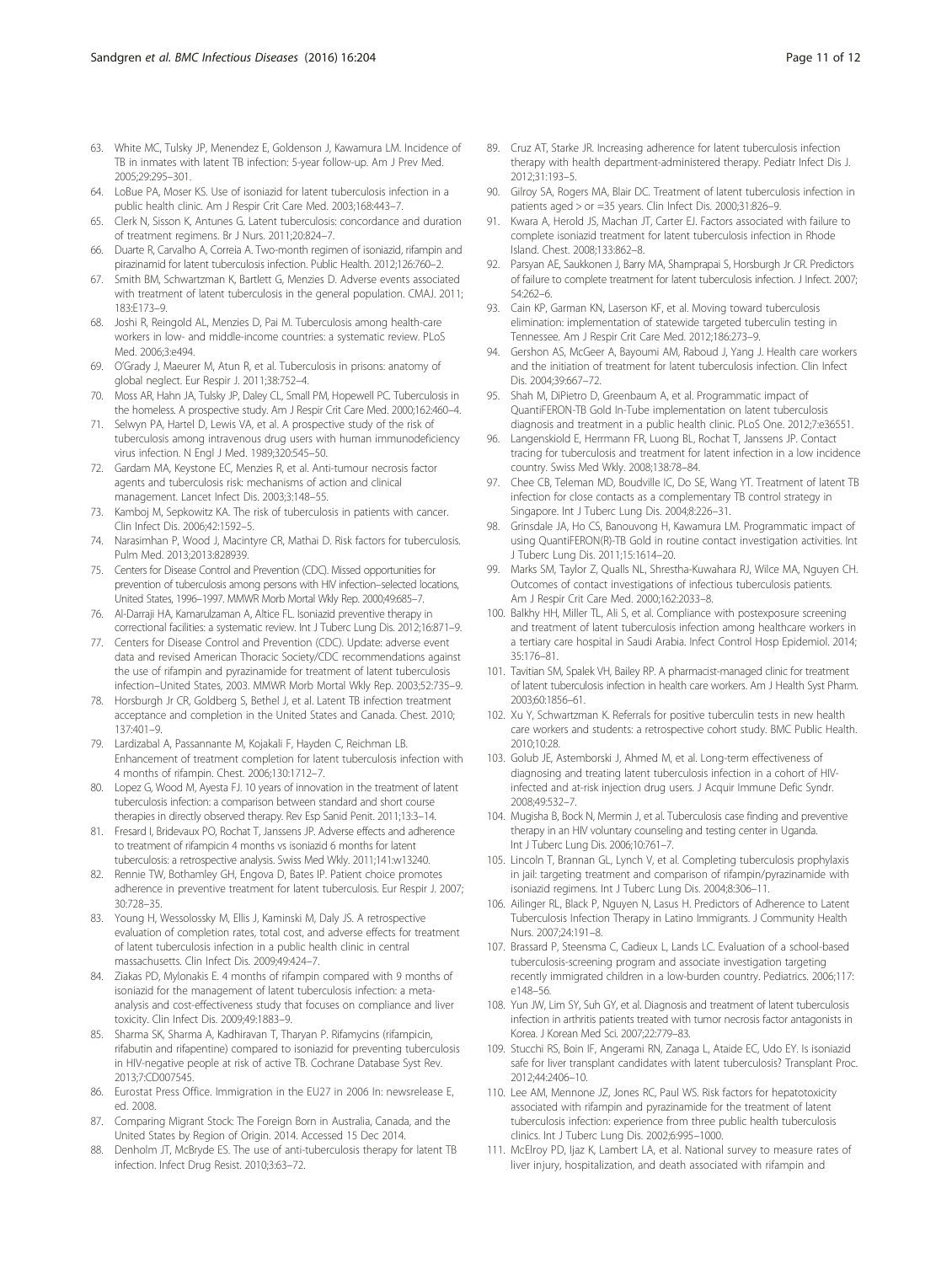- <span id="page-10-0"></span>63. White MC, Tulsky JP, Menendez E, Goldenson J, Kawamura LM. Incidence of TB in inmates with latent TB infection: 5-year follow-up. Am J Prev Med. 2005;29:295–301.
- 64. LoBue PA, Moser KS. Use of isoniazid for latent tuberculosis infection in a public health clinic. Am J Respir Crit Care Med. 2003;168:443–7.
- 65. Clerk N, Sisson K, Antunes G. Latent tuberculosis: concordance and duration of treatment regimens. Br J Nurs. 2011;20:824–7.
- 66. Duarte R, Carvalho A, Correia A. Two-month regimen of isoniazid, rifampin and pirazinamid for latent tuberculosis infection. Public Health. 2012;126:760–2.
- 67. Smith BM, Schwartzman K, Bartlett G, Menzies D. Adverse events associated with treatment of latent tuberculosis in the general population. CMAJ. 2011; 183:E173–9.
- 68. Joshi R, Reingold AL, Menzies D, Pai M. Tuberculosis among health-care workers in low- and middle-income countries: a systematic review. PLoS Med. 2006;3:e494.
- 69. O'Grady J, Maeurer M, Atun R, et al. Tuberculosis in prisons: anatomy of global neglect. Eur Respir J. 2011;38:752–4.
- 70. Moss AR, Hahn JA, Tulsky JP, Daley CL, Small PM, Hopewell PC. Tuberculosis in the homeless. A prospective study. Am J Respir Crit Care Med. 2000;162:460–4.
- 71. Selwyn PA, Hartel D, Lewis VA, et al. A prospective study of the risk of tuberculosis among intravenous drug users with human immunodeficiency virus infection. N Engl J Med. 1989;320:545–50.
- 72. Gardam MA, Keystone EC, Menzies R, et al. Anti-tumour necrosis factor agents and tuberculosis risk: mechanisms of action and clinical management. Lancet Infect Dis. 2003;3:148–55.
- 73. Kamboj M, Sepkowitz KA. The risk of tuberculosis in patients with cancer. Clin Infect Dis. 2006;42:1592–5.
- 74. Narasimhan P, Wood J, Macintyre CR, Mathai D. Risk factors for tuberculosis. Pulm Med. 2013;2013:828939.
- 75. Centers for Disease Control and Prevention (CDC). Missed opportunities for prevention of tuberculosis among persons with HIV infection–selected locations, United States, 1996–1997. MMWR Morb Mortal Wkly Rep. 2000;49:685–7.
- 76. Al-Darraji HA, Kamarulzaman A, Altice FL. Isoniazid preventive therapy in correctional facilities: a systematic review. Int J Tuberc Lung Dis. 2012;16:871–9.
- 77. Centers for Disease Control and Prevention (CDC). Update: adverse event data and revised American Thoracic Society/CDC recommendations against the use of rifampin and pyrazinamide for treatment of latent tuberculosis infection–United States, 2003. MMWR Morb Mortal Wkly Rep. 2003;52:735–9.
- 78. Horsburgh Jr CR, Goldberg S, Bethel J, et al. Latent TB infection treatment acceptance and completion in the United States and Canada. Chest. 2010; 137:401–9.
- 79. Lardizabal A, Passannante M, Kojakali F, Hayden C, Reichman LB. Enhancement of treatment completion for latent tuberculosis infection with 4 months of rifampin. Chest. 2006;130:1712–7.
- 80. Lopez G, Wood M, Ayesta FJ. 10 years of innovation in the treatment of latent tuberculosis infection: a comparison between standard and short course therapies in directly observed therapy. Rev Esp Sanid Penit. 2011;13:3–14.
- 81. Fresard I, Bridevaux PO, Rochat T, Janssens JP. Adverse effects and adherence to treatment of rifampicin 4 months vs isoniazid 6 months for latent tuberculosis: a retrospective analysis. Swiss Med Wkly. 2011;141:w13240.
- 82. Rennie TW, Bothamley GH, Engova D, Bates IP. Patient choice promotes adherence in preventive treatment for latent tuberculosis. Eur Respir J. 2007; 30:728–35.
- 83. Young H, Wessolossky M, Ellis J, Kaminski M, Daly JS. A retrospective evaluation of completion rates, total cost, and adverse effects for treatment of latent tuberculosis infection in a public health clinic in central massachusetts. Clin Infect Dis. 2009;49:424–7.
- 84. Ziakas PD, Mylonakis E. 4 months of rifampin compared with 9 months of isoniazid for the management of latent tuberculosis infection: a metaanalysis and cost-effectiveness study that focuses on compliance and liver toxicity. Clin Infect Dis. 2009;49:1883–9.
- 85. Sharma SK, Sharma A, Kadhiravan T, Tharyan P. Rifamycins (rifampicin, rifabutin and rifapentine) compared to isoniazid for preventing tuberculosis in HIV-negative people at risk of active TB. Cochrane Database Syst Rev. 2013;7:CD007545.
- 86. Eurostat Press Office. Immigration in the EU27 in 2006 In: newsrelease E, ed. 2008.
- 87. Comparing Migrant Stock: The Foreign Born in Australia, Canada, and the United States by Region of Origin. 2014. Accessed 15 Dec 2014.
- 88. Denholm JT, McBryde ES. The use of anti-tuberculosis therapy for latent TB infection. Infect Drug Resist. 2010;3:63–72.
- 89. Cruz AT, Starke JR. Increasing adherence for latent tuberculosis infection therapy with health department-administered therapy. Pediatr Infect Dis J. 2012;31:193–5.
- 90. Gilroy SA, Rogers MA, Blair DC. Treatment of latent tuberculosis infection in patients aged > or =35 years. Clin Infect Dis. 2000;31:826–9.
- 91. Kwara A, Herold JS, Machan JT, Carter EJ. Factors associated with failure to complete isoniazid treatment for latent tuberculosis infection in Rhode Island. Chest. 2008;133:862–8.
- 92. Parsyan AE, Saukkonen J, Barry MA, Sharnprapai S, Horsburgh Jr CR. Predictors of failure to complete treatment for latent tuberculosis infection. J Infect. 2007; 54:262–6.
- 93. Cain KP, Garman KN, Laserson KF, et al. Moving toward tuberculosis elimination: implementation of statewide targeted tuberculin testing in Tennessee. Am J Respir Crit Care Med. 2012;186:273–9.
- 94. Gershon AS, McGeer A, Bayoumi AM, Raboud J, Yang J. Health care workers and the initiation of treatment for latent tuberculosis infection. Clin Infect Dis. 2004;39:667–72.
- 95. Shah M, DiPietro D, Greenbaum A, et al. Programmatic impact of QuantiFERON-TB Gold In-Tube implementation on latent tuberculosis diagnosis and treatment in a public health clinic. PLoS One. 2012;7:e36551.
- 96. Langenskiold E, Herrmann FR, Luong BL, Rochat T, Janssens JP. Contact tracing for tuberculosis and treatment for latent infection in a low incidence country. Swiss Med Wkly. 2008;138:78–84.
- 97. Chee CB, Teleman MD, Boudville IC, Do SE, Wang YT. Treatment of latent TB infection for close contacts as a complementary TB control strategy in Singapore. Int J Tuberc Lung Dis. 2004;8:226–31.
- 98. Grinsdale JA, Ho CS, Banouvong H, Kawamura LM. Programmatic impact of using QuantiFERON(R)-TB Gold in routine contact investigation activities. Int J Tuberc Lung Dis. 2011;15:1614–20.
- 99. Marks SM, Taylor Z, Qualls NL, Shrestha-Kuwahara RJ, Wilce MA, Nguyen CH. Outcomes of contact investigations of infectious tuberculosis patients. Am J Respir Crit Care Med. 2000;162:2033–8.
- 100. Balkhy HH, Miller TL, Ali S, et al. Compliance with postexposure screening and treatment of latent tuberculosis infection among healthcare workers in a tertiary care hospital in Saudi Arabia. Infect Control Hosp Epidemiol. 2014; 35:176–81.
- 101. Tavitian SM, Spalek VH, Bailey RP. A pharmacist-managed clinic for treatment of latent tuberculosis infection in health care workers. Am J Health Syst Pharm. 2003;60:1856–61.
- 102. Xu Y, Schwartzman K. Referrals for positive tuberculin tests in new health care workers and students: a retrospective cohort study. BMC Public Health. 2010;10:28.
- 103. Golub JE, Astemborski J, Ahmed M, et al. Long-term effectiveness of diagnosing and treating latent tuberculosis infection in a cohort of HIVinfected and at-risk injection drug users. J Acquir Immune Defic Syndr. 2008;49:532–7.
- 104. Mugisha B, Bock N, Mermin J, et al. Tuberculosis case finding and preventive therapy in an HIV voluntary counseling and testing center in Uganda. Int J Tuberc Lung Dis. 2006;10:761–7.
- 105. Lincoln T, Brannan GL, Lynch V, et al. Completing tuberculosis prophylaxis in jail: targeting treatment and comparison of rifampin/pyrazinamide with isoniazid regimens. Int J Tuberc Lung Dis. 2004;8:306–11.
- 106. Ailinger RL, Black P, Nguyen N, Lasus H. Predictors of Adherence to Latent Tuberculosis Infection Therapy in Latino Immigrants. J Community Health Nurs. 2007;24:191–8.
- 107. Brassard P, Steensma C, Cadieux L, Lands LC. Evaluation of a school-based tuberculosis-screening program and associate investigation targeting recently immigrated children in a low-burden country. Pediatrics. 2006;117: e148–56.
- 108. Yun JW, Lim SY, Suh GY, et al. Diagnosis and treatment of latent tuberculosis infection in arthritis patients treated with tumor necrosis factor antagonists in Korea. J Korean Med Sci. 2007;22:779–83.
- 109. Stucchi RS, Boin IF, Angerami RN, Zanaga L, Ataide EC, Udo EY. Is isoniazid safe for liver transplant candidates with latent tuberculosis? Transplant Proc. 2012;44:2406–10.
- 110. Lee AM, Mennone JZ, Jones RC, Paul WS. Risk factors for hepatotoxicity associated with rifampin and pyrazinamide for the treatment of latent tuberculosis infection: experience from three public health tuberculosis clinics. Int J Tuberc Lung Dis. 2002;6:995–1000.
- 111. McElroy PD, Ijaz K, Lambert LA, et al. National survey to measure rates of liver injury, hospitalization, and death associated with rifampin and